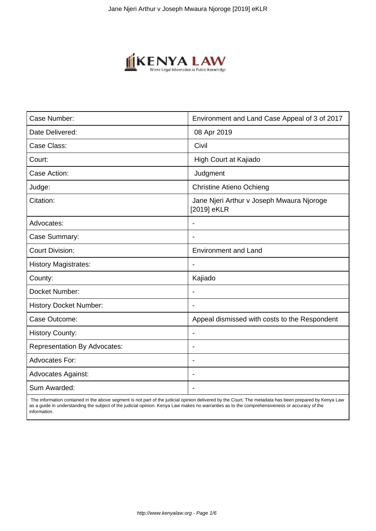

| Case Number:                        | Environment and Land Case Appeal of 3 of 2017            |
|-------------------------------------|----------------------------------------------------------|
| Date Delivered:                     | 08 Apr 2019                                              |
| Case Class:                         | Civil                                                    |
| Court:                              | High Court at Kajiado                                    |
| Case Action:                        | Judgment                                                 |
| Judge:                              | <b>Christine Atieno Ochieng</b>                          |
| Citation:                           | Jane Njeri Arthur v Joseph Mwaura Njoroge<br>[2019] eKLR |
| Advocates:                          |                                                          |
| Case Summary:                       |                                                          |
| <b>Court Division:</b>              | <b>Environment and Land</b>                              |
| <b>History Magistrates:</b>         | $\overline{\phantom{a}}$                                 |
| County:                             | Kajiado                                                  |
| Docket Number:                      |                                                          |
| <b>History Docket Number:</b>       |                                                          |
| Case Outcome:                       | Appeal dismissed with costs to the Respondent            |
| <b>History County:</b>              | $\blacksquare$                                           |
| <b>Representation By Advocates:</b> | $\overline{\phantom{0}}$                                 |
| Advocates For:                      | ÷.                                                       |
| <b>Advocates Against:</b>           |                                                          |
| Sum Awarded:                        |                                                          |

 The information contained in the above segment is not part of the judicial opinion delivered by the Court. The metadata has been prepared by Kenya Law as a guide in understanding the subject of the judicial opinion. Kenya Law makes no warranties as to the comprehensiveness or accuracy of the information.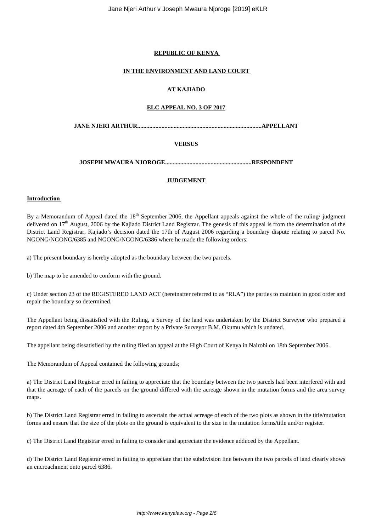### **REPUBLIC OF KENYA**

#### **IN THE ENVIRONMENT AND LAND COURT**

### **AT KAJIADO**

# **ELC APPEAL NO. 3 OF 2017**

**JANE NJERI ARTHUR..................................................................................APPELLANT**

# **VERSUS**

**JOSEPH MWAURA NJOROGE.........................................................RESPONDENT**

#### **JUDGEMENT**

# **Introduction**

By a Memorandum of Appeal dated the  $18<sup>th</sup>$  September 2006, the Appellant appeals against the whole of the ruling/ judgment delivered on 17<sup>th</sup> August, 2006 by the Kajiado District Land Registrar. The genesis of this appeal is from the determination of the District Land Registrar, Kajiado's decision dated the 17th of August 2006 regarding a boundary dispute relating to parcel No. NGONG/NGONG/6385 and NGONG/NGONG/6386 where he made the following orders:

a) The present boundary is hereby adopted as the boundary between the two parcels.

b) The map to be amended to conform with the ground.

c) Under section 23 of the REGISTERED LAND ACT (hereinafter referred to as "RLA") the parties to maintain in good order and repair the boundary so determined.

The Appellant being dissatisfied with the Ruling, a Survey of the land was undertaken by the District Surveyor who prepared a report dated 4th September 2006 and another report by a Private Surveyor B.M. Okumu which is undated.

The appellant being dissatisfied by the ruling filed an appeal at the High Court of Kenya in Nairobi on 18th September 2006.

The Memorandum of Appeal contained the following grounds;

a) The District Land Registrar erred in failing to appreciate that the boundary between the two parcels had been interfered with and that the acreage of each of the parcels on the ground differed with the acreage shown in the mutation forms and the area survey maps.

b) The District Land Registrar erred in failing to ascertain the actual acreage of each of the two plots as shown in the title/mutation forms and ensure that the size of the plots on the ground is equivalent to the size in the mutation forms/title and/or register.

c) The District Land Registrar erred in failing to consider and appreciate the evidence adduced by the Appellant.

d) The District Land Registrar erred in failing to appreciate that the subdivision line between the two parcels of land clearly shows an encroachment onto parcel 6386.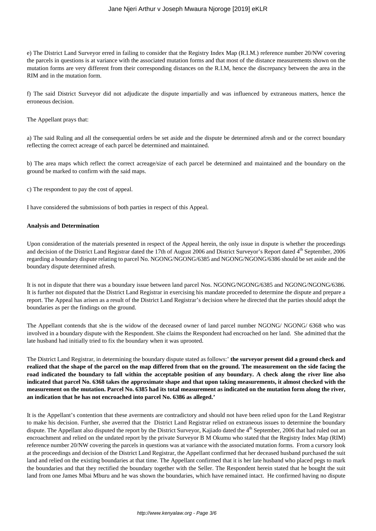e) The District Land Surveyor erred in failing to consider that the Registry Index Map (R.I.M.) reference number 20/NW covering the parcels in questions is at variance with the associated mutation forms and that most of the distance measurements shown on the mutation forms are very different from their corresponding distances on the R.I.M, hence the discrepancy between the area in the RIM and in the mutation form.

f) The said District Surveyor did not adjudicate the dispute impartially and was influenced by extraneous matters, hence the erroneous decision.

The Appellant prays that:

a) The said Ruling and all the consequential orders be set aside and the dispute be determined afresh and or the correct boundary reflecting the correct acreage of each parcel be determined and maintained.

b) The area maps which reflect the correct acreage/size of each parcel be determined and maintained and the boundary on the ground be marked to confirm with the said maps.

c) The respondent to pay the cost of appeal.

I have considered the submissions of both parties in respect of this Appeal.

#### **Analysis and Determination**

Upon consideration of the materials presented in respect of the Appeal herein, the only issue in dispute is whether the proceedings and decision of the District Land Registrar dated the 17th of August 2006 and District Surveyor's Report dated 4<sup>th</sup> September, 2006 regarding a boundary dispute relating to parcel No. NGONG/NGONG/6385 and NGONG/NGONG/6386 should be set aside and the boundary dispute determined afresh.

It is not in dispute that there was a boundary issue between land parcel Nos. NGONG/NGONG/6385 and NGONG/NGONG/6386. It is further not disputed that the District Land Registrar in exercising his mandate proceeded to determine the dispute and prepare a report. The Appeal has arisen as a result of the District Land Registrar's decision where he directed that the parties should adopt the boundaries as per the findings on the ground.

The Appellant contends that she is the widow of the deceased owner of land parcel number NGONG/ NGONG/ 6368 who was involved in a boundary dispute with the Respondent. She claims the Respondent had encroached on her land. She admitted that the late husband had initially tried to fix the boundary when it was uprooted.

The District Land Registrar, in determining the boundary dispute stated as follows:' **the surveyor present did a ground check and realized that the shape of the parcel on the map differed from that on the ground. The measurement on the side facing the road indicated the boundary to fall within the acceptable position of any boundary. A check along the river line also indicated that parcel No. 6368 takes the approximate shape and that upon taking measurements, it almost checked with the measurement on the mutation. Parcel No. 6385 had its total measurement as indicated on the mutation form along the river, an indication that he has not encroached into parcel No. 6386 as alleged.'**

It is the Appellant's contention that these averments are contradictory and should not have been relied upon for the Land Registrar to make his decision. Further, she averred that the District Land Registrar relied on extraneous issues to determine the boundary dispute. The Appellant also disputed the report by the District Surveyor, Kajiado dated the 4<sup>th</sup> September, 2006 that had ruled out an encroachment and relied on the undated report by the private Surveyor B M Okumu who stated that the Registry Index Map (RIM) reference number 20/NW covering the parcels in questions was at variance with the associated mutation forms. From a cursory look at the proceedings and decision of the District Land Registrar, the Appellant confirmed that her deceased husband purchased the suit land and relied on the existing boundaries at that time. The Appellant confirmed that it is her late husband who placed pegs to mark the boundaries and that they rectified the boundary together with the Seller. The Respondent herein stated that he bought the suit land from one James Mbai Mburu and he was shown the boundaries, which have remained intact. He confirmed having no dispute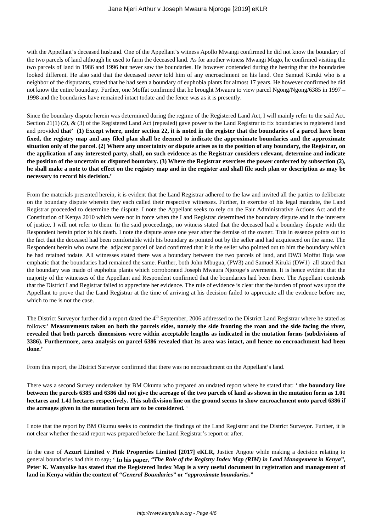with the Appellant's deceased husband. One of the Appellant's witness Apollo Mwangi confirmed he did not know the boundary of the two parcels of land although he used to farm the deceased land. As for another witness Mwangi Mugo, he confirmed visiting the two parcels of land in 1986 and 1996 but never saw the boundaries. He however contended during the hearing that the boundaries looked different. He also said that the deceased never told him of any encroachment on his land. One Samuel Kiruki who is a neighbor of the disputants, stated that he had seen a boundary of euphobia plants for almost 17 years. He however confirmed he did not know the entire boundary. Further, one Moffat confirmed that he brought Mwaura to view parcel Ngong/Ngong/6385 in 1997 – 1998 and the boundaries have remained intact todate and the fence was as it is presently.

Since the boundary dispute herein was determined during the regime of the Registered Land Act, I will mainly refer to the said Act. Section 21(1) (2),  $\&$  (3) of the Registered Land Act (repealed) gave power to the Land Registrar to fix boundaries to registered land and provided **that' (1) Except where, under section 22, it is noted in the register that the boundaries of a parcel have been fixed, the registry map and any filed plan shall be deemed to indicate the approximate boundaries and the approximate situation only of the parcel. (2) Where any uncertainty or dispute arises as to the position of any boundary, the Registrar, on the application of any interested party, shall, on such evidence as the Registrar considers relevant, determine and indicate the position of the uncertain or disputed boundary. (3) Where the Registrar exercises the power conferred by subsection (2), he shall make a note to that effect on the registry map and in the register and shall file such plan or description as may be necessary to record his decision.'**

From the materials presented herein, it is evident that the Land Registrar adhered to the law and invited all the parties to deliberate on the boundary dispute wherein they each called their respective witnesses. Further, in exercise of his legal mandate, the Land Registrar proceeded to determine the dispute. I note the Appellant seeks to rely on the Fair Administrative Actions Act and the Constitution of Kenya 2010 which were not in force when the Land Registrar determined the boundary dispute and in the interests of justice, I will not refer to them. In the said proceedings, no witness stated that the deceased had a boundary dispute with the Respondent herein prior to his death. I note the dispute arose one year after the demise of the owner. This in essence points out to the fact that the deceased had been comfortable with his boundary as pointed out by the seller and had acquiesced on the same. The Respondent herein who owns the adjacent parcel of land confirmed that it is the seller who pointed out to him the boundary which he had retained todate. All witnesses stated there was a boundary between the two parcels of land, and DW3 Moffat Buja was emphatic that the boundaries had remained the same. Further, both John Mbugua, (PW3) and Samuel Kiruki (DW1) all stated that the boundary was made of euphobia plants which corroborated Joseph Mwaura Njoroge's averments. It is hence evident that the majority of the witnesses of the Appellant and Respondent confirmed that the boundaries had been there. The Appellant contends that the District Land Registrar failed to appreciate her evidence. The rule of evidence is clear that the burden of proof was upon the Appellant to prove that the Land Registrar at the time of arriving at his decision failed to appreciate all the evidence before me, which to me is not the case.

The District Surveyor further did a report dated the 4<sup>th</sup> September, 2006 addressed to the District Land Registrar where he stated as follows:' **Measurements taken on both the parcels sides, namely the side fronting the roan and the side facing the river, revealed that both parcels dimensions were within acceptable lengths as indicated in the mutation forms (subdivisions of 3386). Furthermore, area analysis on parcel 6386 revealed that its area was intact, and hence no encroachment had been done.'** 

From this report, the District Surveyor confirmed that there was no encroachment on the Appellant's land.

There was a second Survey undertaken by BM Okumu who prepared an undated report where he stated that: ' **the boundary line between the parcels 6385 and 6386 did not give the acreage of the two parcels of land as shown in the mutation form as 1.01 hectares and 1.41 hectares respectively. This subdivision line on the ground seems to show encroachment onto parcel 6386 if the acreages given in the mutation form are to be considered.** '

I note that the report by BM Okumu seeks to contradict the findings of the Land Registrar and the District Surveyor. Further, it is not clear whether the said report was prepared before the Land Registrar's report or after.

In the case of **Azzuri Limited v Pink Properties Limited [2017] eKLR,** Justice Angote while making a decision relating to general boundaries had this to say**: ' In his paper,** *"The Role of the Registry Index Map (RIM) in Land Management in Kenya",* **Peter K. Wanyoike has stated that the Registered Index Map is a very useful document in registration and management of land in Kenya within the context of "***General Boundaries"* **or** *"approximate boundaries."*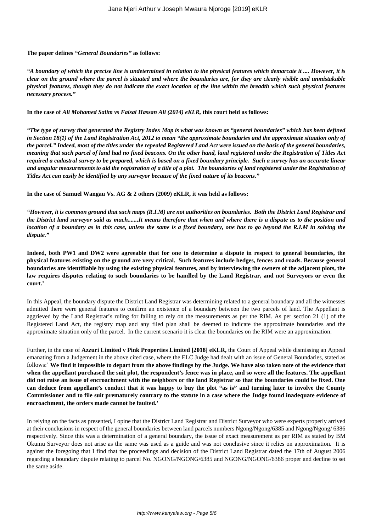#### **The paper defines** *"General Boundaries"* **as follows:**

*"A boundary of which the precise line is undetermined in relation to the physical features which demarcate it .... However, it is clear on the ground where the parcel is situated and where the boundaries are, for they are clearly visible and unmistakable physical features, though they do not indicate the exact location of the line within the breadth which such physical features necessary process."*

**In the case of** *Ali Mohamed Salim vs Faisal Hassan Ali (2014) eKLR,* **this court held as follows:**

*"The type of survey that generated the Registry Index Map is what was known as "general boundaries" which has been defined in Section 18(1) of the Land Registration Act, 2012 to mean "the approximate boundaries and the approximate situation only of the parcel." Indeed, most of the titles under the repealed Registered Land Act were issued on the basis of the general boundaries, meaning that such parcel of land had no fixed beacons. On the other hand, land registered under the Registration of Titles Act required a cadastral survey to be prepared, which is based on a fixed boundary principle. Such a survey has an accurate linear and angular measurements to aid the registration of a title of a plot. The boundaries of land registered under the Registration of Titles Act can easily be identified by any surveyor because of the fixed nature of its beacons."*

**In the case of Samuel Wangau Vs. AG & 2 others (2009) eKLR, it was held as follows:**

*"However, it is common ground that such maps (R.I.M) are not authorities on boundaries. Both the District Land Registrar and the District land surveyor said as much.......It means therefore that when and where there is a dispute as to the position and location of a boundary as in this case, unless the same is a fixed boundary, one has to go beyond the R.I.M in solving the dispute."*

**Indeed, both PW1 and DW2 were agreeable that for one to determine a dispute in respect to general boundaries, the physical features existing on the ground are very critical. Such features include hedges, fences and roads. Because general boundaries are identifiable by using the existing physical features, and by interviewing the owners of the adjacent plots, the law requires disputes relating to such boundaries to be handled by the Land Registrar, and not Surveyors or even the court.'**

In this Appeal, the boundary dispute the District Land Registrar was determining related to a general boundary and all the witnesses admitted there were general features to confirm an existence of a boundary between the two parcels of land. The Appellant is aggrieved by the Land Registrar's ruling for failing to rely on the measurements as per the RIM. As per section 21 (1) of the Registered Land Act, the registry map and any filed plan shall be deemed to indicate the approximate boundaries and the approximate situation only of the parcel. In the current scenario it is clear the boundaries on the RIM were an approximation.

Further, in the case of **Azzuri Limited v Pink Properties Limited [2018] eKLR,** the Court of Appeal while dismissing an Appeal emanating from a Judgement in the above cited case, where the ELC Judge had dealt with an issue of General Boundaries, stated as follows:' **We find it impossible to depart from the above findings by the Judge. We have also taken note of the evidence that when the appellant purchased the suit plot, the respondent's fence was in place, and so were all the features. The appellant did not raise an issue of encroachment with the neighbors or the land Registrar so that the boundaries could be fixed. One can deduce from appellant's conduct that it was happy to buy the plot "as is" and turning later to involve the County Commissioner and to file suit prematurely contrary to the statute in a case where the Judge found inadequate evidence of encroachment, the orders made cannot be faulted.'**

In relying on the facts as presented, I opine that the District Land Registrar and District Surveyor who were experts properly arrived at their conclusions in respect of the general boundaries between land parcels numbers Ngong/Ngong/6385 and Ngong/Ngong/ 6386 respectively. Since this was a determination of a general boundary, the issue of exact measurement as per RIM as stated by BM Okumu Surveyor does not arise as the same was used as a guide and was not conclusive since it relies on approximation. It is against the foregoing that I find that the proceedings and decision of the District Land Registrar dated the 17th of August 2006 regarding a boundary dispute relating to parcel No. NGONG/NGONG/6385 and NGONG/NGONG/6386 proper and decline to set the same aside.